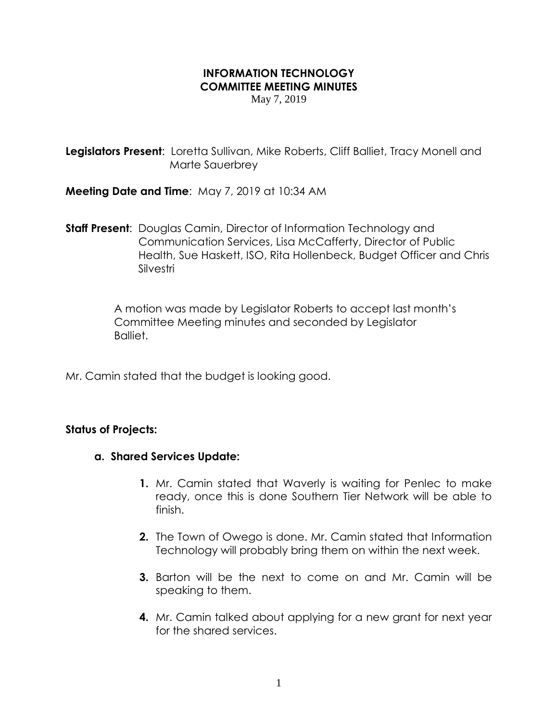## **INFORMATION TECHNOLOGY COMMITTEE MEETING MINUTES**

May 7, 2019

**Legislators Present:** Loretta Sullivan, Mike Roberts, Cliff Balliet, Tracy Monell and Marte Sauerbrey

**Meeting Date and Time**: May 7, 2019 at 10:34 AM

**Staff Present**: Douglas Camin, Director of Information Technology and Communication Services, Lisa McCafferty, Director of Public Health, Sue Haskett, ISO, Rita Hollenbeck, Budget Officer and Chris Silvestri

> A motion was made by Legislator Roberts to accept last month's Committee Meeting minutes and seconded by Legislator Balliet.

Mr. Camin stated that the budget is looking good.

## **Status of Projects:**

- **a. Shared Services Update:**
	- **1.** Mr. Camin stated that Waverly is waiting for Penlec to make ready, once this is done Southern Tier Network will be able to finish.
	- **2.** The Town of Owego is done. Mr. Camin stated that Information Technology will probably bring them on within the next week.
	- **3.** Barton will be the next to come on and Mr. Camin will be speaking to them.
	- **4.** Mr. Camin talked about applying for a new grant for next year for the shared services.